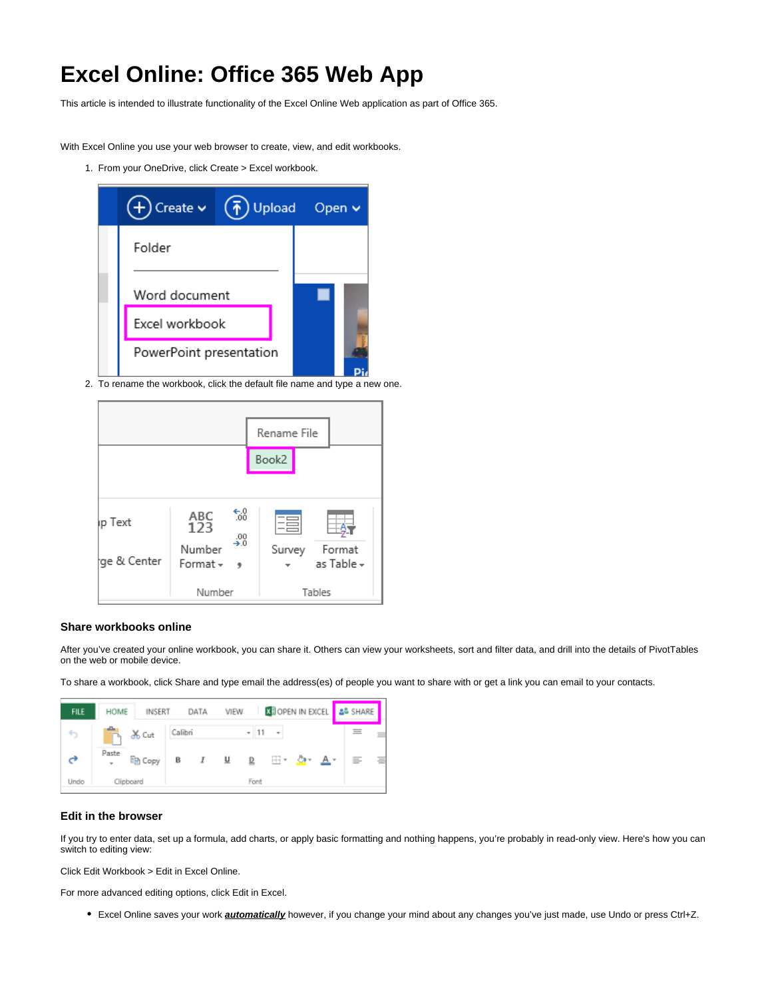# **Excel Online: Office 365 Web App**

This article is intended to illustrate functionality of the Excel Online Web application as part of Office 365.

With Excel Online you use your web browser to create, view, and edit workbooks.

1. From your OneDrive, click Create > Excel workbook.



2. To rename the workbook, click the default file name and type a new one.



#### **Share workbooks online**

After you've created your online workbook, you can share it. Others can view your worksheets, sort and filter data, and drill into the details of PivotTables on the web or mobile device.

To share a workbook, click Share and type email the address(es) of people you want to share with or get a link you can email to your contacts.



#### **Edit in the browser**

If you try to enter data, set up a formula, add charts, or apply basic formatting and nothing happens, you're probably in read-only view. Here's how you can switch to editing view:

Click Edit Workbook > Edit in Excel Online.

For more advanced editing options, click Edit in Excel.

Excel Online saves your work **automatically** however, if you change your mind about any changes you've just made, use Undo or press Ctrl+Z.